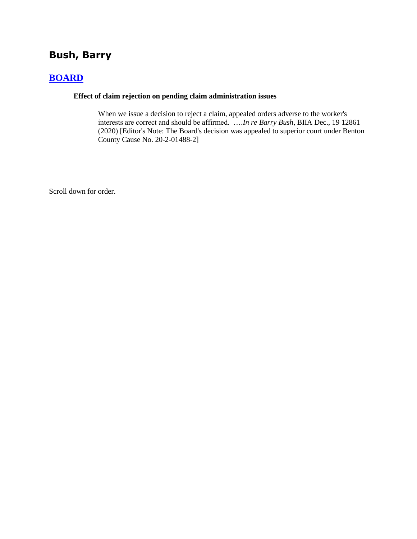# **Bush, Barry**

# **[BOARD](http://www.biia.wa.gov/SDSubjectIndex.html#BOARD)**

#### **Effect of claim rejection on pending claim administration issues**

When we issue a decision to reject a claim, appealed orders adverse to the worker's interests are correct and should be affirmed. ….*In re Barry Bush*, BIIA Dec., 19 12861 (2020) [Editor's Note: The Board's decision was appealed to superior court under Benton County Cause No. 20-2-01488-2]

Scroll down for order.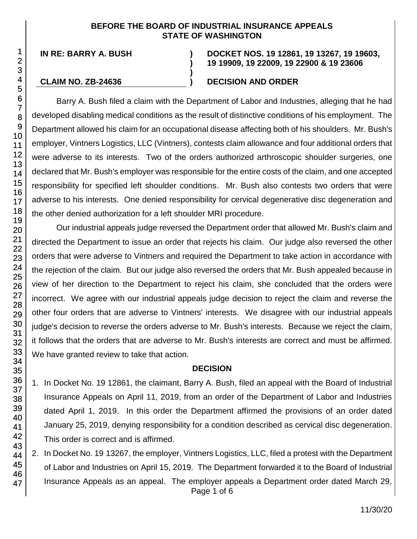#### **BEFORE THE BOARD OF INDUSTRIAL INSURANCE APPEALS STATE OF WASHINGTON**

**)**

**)**

**IN RE: BARRY A. BUSH )**

#### **DOCKET NOS. 19 12861, 19 13267, 19 19603, 19 19909, 19 22009, 19 22900 & 19 23606**

### **CLAIM NO. ZB-24636 ) DECISION AND ORDER**

Barry A. Bush filed a claim with the Department of Labor and Industries, alleging that he had developed disabling medical conditions as the result of distinctive conditions of his employment. The Department allowed his claim for an occupational disease affecting both of his shoulders. Mr. Bush's employer, Vintners Logistics, LLC (Vintners), contests claim allowance and four additional orders that were adverse to its interests. Two of the orders authorized arthroscopic shoulder surgeries, one declared that Mr. Bush's employer was responsible for the entire costs of the claim, and one accepted responsibility for specified left shoulder conditions. Mr. Bush also contests two orders that were adverse to his interests. One denied responsibility for cervical degenerative disc degeneration and the other denied authorization for a left shoulder MRI procedure.

Our industrial appeals judge reversed the Department order that allowed Mr. Bush's claim and directed the Department to issue an order that rejects his claim. Our judge also reversed the other orders that were adverse to Vintners and required the Department to take action in accordance with the rejection of the claim. But our judge also reversed the orders that Mr. Bush appealed because in view of her direction to the Department to reject his claim, she concluded that the orders were incorrect. We agree with our industrial appeals judge decision to reject the claim and reverse the other four orders that are adverse to Vintners' interests. We disagree with our industrial appeals judge's decision to reverse the orders adverse to Mr. Bush's interests. Because we reject the claim, it follows that the orders that are adverse to Mr. Bush's interests are correct and must be affirmed. We have granted review to take that action.

# **DECISION**

- 1. In Docket No. 19 12861, the claimant, Barry A. Bush, filed an appeal with the Board of Industrial Insurance Appeals on April 11, 2019, from an order of the Department of Labor and Industries dated April 1, 2019. In this order the Department affirmed the provisions of an order dated January 25, 2019, denying responsibility for a condition described as cervical disc degeneration. This order is correct and is affirmed.
- Page 1 of 6 2. In Docket No. 19 13267, the employer, Vintners Logistics, LLC, filed a protest with the Department of Labor and Industries on April 15, 2019. The Department forwarded it to the Board of Industrial Insurance Appeals as an appeal. The employer appeals a Department order dated March 29,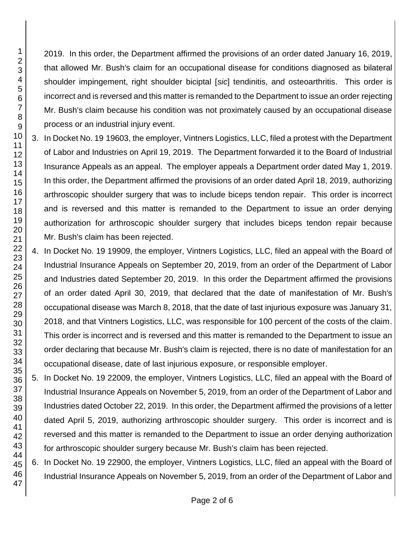2019. In this order, the Department affirmed the provisions of an order dated January 16, 2019, that allowed Mr. Bush's claim for an occupational disease for conditions diagnosed as bilateral shoulder impingement, right shoulder biciptal [*sic*] tendinitis, and osteoarthritis. This order is incorrect and is reversed and this matter is remanded to the Department to issue an order rejecting Mr. Bush's claim because his condition was not proximately caused by an occupational disease process or an industrial injury event.

- 3. In Docket No. 19 19603, the employer, Vintners Logistics, LLC, filed a protest with the Department of Labor and Industries on April 19, 2019. The Department forwarded it to the Board of Industrial Insurance Appeals as an appeal. The employer appeals a Department order dated May 1, 2019. In this order, the Department affirmed the provisions of an order dated April 18, 2019, authorizing arthroscopic shoulder surgery that was to include biceps tendon repair. This order is incorrect and is reversed and this matter is remanded to the Department to issue an order denying authorization for arthroscopic shoulder surgery that includes biceps tendon repair because Mr. Bush's claim has been rejected.
- 4. In Docket No. 19 19909, the employer, Vintners Logistics, LLC, filed an appeal with the Board of Industrial Insurance Appeals on September 20, 2019, from an order of the Department of Labor and Industries dated September 20, 2019. In this order the Department affirmed the provisions of an order dated April 30, 2019, that declared that the date of manifestation of Mr. Bush's occupational disease was March 8, 2018, that the date of last injurious exposure was January 31, 2018, and that Vintners Logistics, LLC, was responsible for 100 percent of the costs of the claim. This order is incorrect and is reversed and this matter is remanded to the Department to issue an order declaring that because Mr. Bush's claim is rejected, there is no date of manifestation for an occupational disease, date of last injurious exposure, or responsible employer.
- 5. In Docket No. 19 22009, the employer, Vintners Logistics, LLC, filed an appeal with the Board of Industrial Insurance Appeals on November 5, 2019, from an order of the Department of Labor and Industries dated October 22, 2019. In this order, the Department affirmed the provisions of a letter dated April 5, 2019, authorizing arthroscopic shoulder surgery. This order is incorrect and is reversed and this matter is remanded to the Department to issue an order denying authorization for arthroscopic shoulder surgery because Mr. Bush's claim has been rejected.
- 6. In Docket No. 19 22900, the employer, Vintners Logistics, LLC, filed an appeal with the Board of Industrial Insurance Appeals on November 5, 2019, from an order of the Department of Labor and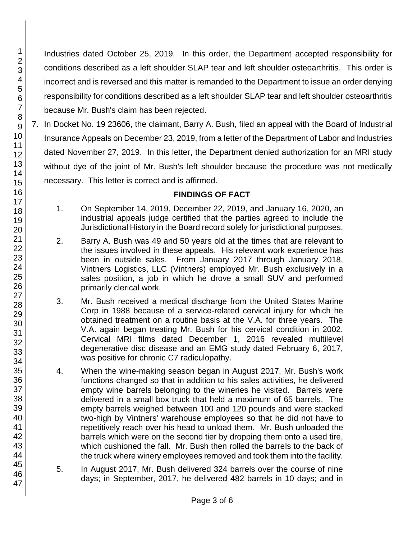Industries dated October 25, 2019. In this order, the Department accepted responsibility for conditions described as a left shoulder SLAP tear and left shoulder osteoarthritis. This order is incorrect and is reversed and this matter is remanded to the Department to issue an order denying responsibility for conditions described as a left shoulder SLAP tear and left shoulder osteoarthritis because Mr. Bush's claim has been rejected.

7. In Docket No. 19 23606, the claimant, Barry A. Bush, filed an appeal with the Board of Industrial Insurance Appeals on December 23, 2019, from a letter of the Department of Labor and Industries dated November 27, 2019. In this letter, the Department denied authorization for an MRI study without dye of the joint of Mr. Bush's left shoulder because the procedure was not medically necessary. This letter is correct and is affirmed.

# **FINDINGS OF FACT**

- 1. On September 14, 2019, December 22, 2019, and January 16, 2020, an industrial appeals judge certified that the parties agreed to include the Jurisdictional History in the Board record solely for jurisdictional purposes.
- 2. Barry A. Bush was 49 and 50 years old at the times that are relevant to the issues involved in these appeals. His relevant work experience has been in outside sales. From January 2017 through January 2018, Vintners Logistics, LLC (Vintners) employed Mr. Bush exclusively in a sales position, a job in which he drove a small SUV and performed primarily clerical work.
- 3. Mr. Bush received a medical discharge from the United States Marine Corp in 1988 because of a service-related cervical injury for which he obtained treatment on a routine basis at the V.A. for three years. The V.A. again began treating Mr. Bush for his cervical condition in 2002. Cervical MRI films dated December 1, 2016 revealed multilevel degenerative disc disease and an EMG study dated February 6, 2017, was positive for chronic C7 radiculopathy.
- 4. When the wine-making season began in August 2017, Mr. Bush's work functions changed so that in addition to his sales activities, he delivered empty wine barrels belonging to the wineries he visited. Barrels were delivered in a small box truck that held a maximum of 65 barrels. The empty barrels weighed between 100 and 120 pounds and were stacked two-high by Vintners' warehouse employees so that he did not have to repetitively reach over his head to unload them. Mr. Bush unloaded the barrels which were on the second tier by dropping them onto a used tire, which cushioned the fall. Mr. Bush then rolled the barrels to the back of the truck where winery employees removed and took them into the facility.
- 5. In August 2017, Mr. Bush delivered 324 barrels over the course of nine days; in September, 2017, he delivered 482 barrels in 10 days; and in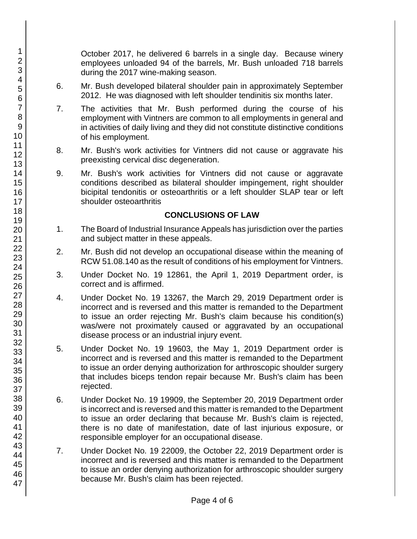October 2017, he delivered 6 barrels in a single day. Because winery employees unloaded 94 of the barrels, Mr. Bush unloaded 718 barrels during the 2017 wine-making season.

- 6. Mr. Bush developed bilateral shoulder pain in approximately September 2012. He was diagnosed with left shoulder tendinitis six months later.
- 7. The activities that Mr. Bush performed during the course of his employment with Vintners are common to all employments in general and in activities of daily living and they did not constitute distinctive conditions of his employment.
- 8. Mr. Bush's work activities for Vintners did not cause or aggravate his preexisting cervical disc degeneration.
- 9. Mr. Bush's work activities for Vintners did not cause or aggravate conditions described as bilateral shoulder impingement, right shoulder bicipital tendonitis or osteoarthritis or a left shoulder SLAP tear or left shoulder osteoarthritis

# **CONCLUSIONS OF LAW**

- 1. The Board of Industrial Insurance Appeals has jurisdiction over the parties and subject matter in these appeals.
- 2. Mr. Bush did not develop an occupational disease within the meaning of RCW 51.08.140 as the result of conditions of his employment for Vintners.
- 3. Under Docket No. 19 12861, the April 1, 2019 Department order, is correct and is affirmed.
- 4. Under Docket No. 19 13267, the March 29, 2019 Department order is incorrect and is reversed and this matter is remanded to the Department to issue an order rejecting Mr. Bush's claim because his condition(s) was/were not proximately caused or aggravated by an occupational disease process or an industrial injury event.
- 5. Under Docket No. 19 19603, the May 1, 2019 Department order is incorrect and is reversed and this matter is remanded to the Department to issue an order denying authorization for arthroscopic shoulder surgery that includes biceps tendon repair because Mr. Bush's claim has been rejected.
- 6. Under Docket No. 19 19909, the September 20, 2019 Department order is incorrect and is reversed and this matter is remanded to the Department to issue an order declaring that because Mr. Bush's claim is rejected, there is no date of manifestation, date of last injurious exposure, or responsible employer for an occupational disease.
- 7. Under Docket No. 19 22009, the October 22, 2019 Department order is incorrect and is reversed and this matter is remanded to the Department to issue an order denying authorization for arthroscopic shoulder surgery because Mr. Bush's claim has been rejected.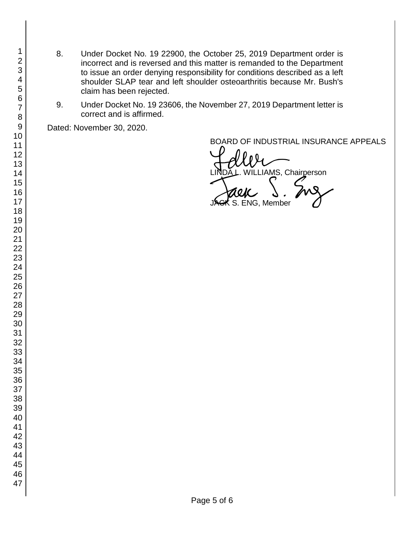- 8. Under Docket No. 19 22900, the October 25, 2019 Department order is incorrect and is reversed and this matter is remanded to the Department to issue an order denying responsibility for conditions described as a left shoulder SLAP tear and left shoulder osteoarthritis because Mr. Bush's claim has been rejected.
- 9. Under Docket No. 19 23606, the November 27, 2019 Department letter is correct and is affirmed.

Dated: November 30, 2020.

BOARD OF INDUSTRIAL INSURANCE APPEALS

BOARD OF INDUSTRIAL INSURAM<br>LINDA L. WILLIAMS, Chairperson<br>JAGK S. ENG, Member  $\boldsymbol{\star}$  S. ENG, Member